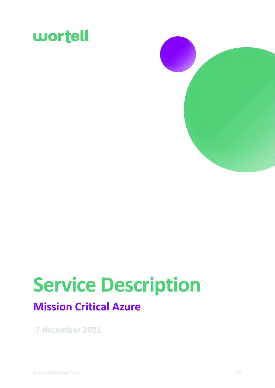



# **Service Description**

## **Mission Critical Azure**

**7 december 2021**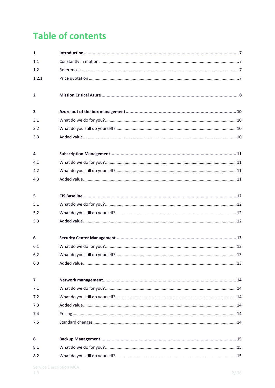## **Table of contents**

| $\mathbf{1}$            |  |
|-------------------------|--|
| 1.1                     |  |
| 1.2                     |  |
| 1.2.1                   |  |
| $\overline{\mathbf{2}}$ |  |
| 3                       |  |
| 3.1                     |  |
| 3.2                     |  |
| 3.3                     |  |
| 4                       |  |
| 4.1                     |  |
| 4.2                     |  |
| 4.3                     |  |
| 5                       |  |
| 5.1                     |  |
| 5.2                     |  |
| 5.3                     |  |
| 6                       |  |
| 6.1                     |  |
| 6.2                     |  |
| 6.3                     |  |
| 7                       |  |
| 7.1                     |  |
| 7.2                     |  |
| 7.3                     |  |
| 7.4                     |  |
| 7.5                     |  |
| 8                       |  |
| 8.1                     |  |
| 8.2                     |  |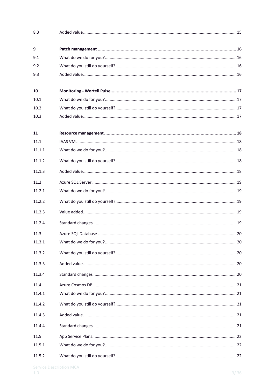| 8.3    |  |
|--------|--|
| 9      |  |
| 9.1    |  |
| 9.2    |  |
| 9.3    |  |
| 10     |  |
| 10.1   |  |
| 10.2   |  |
| 10.3   |  |
| 11     |  |
| 11.1   |  |
| 11.1.1 |  |
| 11.1.2 |  |
| 11.1.3 |  |
| 11.2   |  |
| 11.2.1 |  |
| 11.2.2 |  |
| 11.2.3 |  |
| 11.2.4 |  |
| 11.3   |  |
| 11.3.1 |  |
| 11.3.2 |  |
| 11.3.3 |  |
| 11.3.4 |  |
| 11.4   |  |
| 11.4.1 |  |
| 11.4.2 |  |
| 11.4.3 |  |
| 11.4.4 |  |
| 11.5   |  |
| 11.5.1 |  |
| 11.5.2 |  |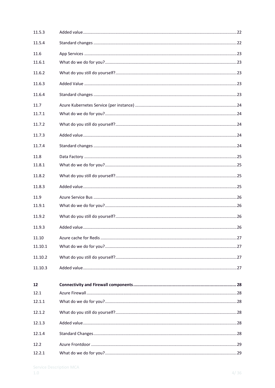| 11.5.3  |  |
|---------|--|
| 11.5.4  |  |
| 11.6    |  |
| 11.6.1  |  |
| 11.6.2  |  |
| 11.6.3  |  |
| 11.6.4  |  |
| 11.7    |  |
| 11.7.1  |  |
| 11.7.2  |  |
| 11.7.3  |  |
| 11.7.4  |  |
| 11.8    |  |
| 11.8.1  |  |
| 11.8.2  |  |
| 11.8.3  |  |
| 11.9    |  |
| 11.9.1  |  |
| 11.9.2  |  |
| 11.9.3  |  |
| 11.10   |  |
| 11.10.1 |  |
| 11.10.2 |  |
| 11.10.3 |  |
| 12      |  |
| 12.1    |  |
| 12.1.1  |  |
| 12.1.2  |  |
| 12.1.3  |  |
| 12.1.4  |  |
| 12.2    |  |
| 12.2.1  |  |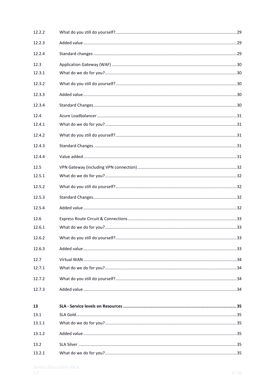| 12.2.2 |  |
|--------|--|
| 12.2.3 |  |
| 12.2.4 |  |
| 12.3   |  |
| 12.3.1 |  |
| 12.3.2 |  |
| 12.3.3 |  |
| 12.3.4 |  |
| 12.4   |  |
| 12.4.1 |  |
| 12.4.2 |  |
| 12.4.3 |  |
| 12.4.4 |  |
| 12.5   |  |
| 12.5.1 |  |
| 12.5.2 |  |
| 12.5.3 |  |
| 12.5.4 |  |
| 12.6   |  |
| 12.6.1 |  |
| 12.6.2 |  |
| 12.6.3 |  |
| 12.7   |  |
| 12.7.1 |  |
| 12.7.2 |  |
| 12.7.3 |  |
| 13     |  |
| 13.1   |  |
| 13.1.1 |  |
| 13.1.2 |  |
| 13.2   |  |
| 13.2.1 |  |
|        |  |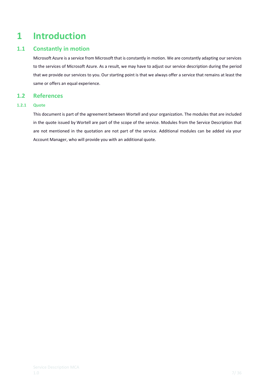## <span id="page-6-0"></span>**1 Introduction**

## **1.1 Constantly in motion**

<span id="page-6-1"></span>Microsoft Azure is a service from Microsoft that is constantly in motion. We are constantly adapting our services to the services of Microsoft Azure. As a result, we may have to adjust our service description during the period that we provide our services to you. Our starting point is that we always offer a service that remains at least the same or offers an equal experience.

## <span id="page-6-2"></span>**1.2 References**

## **1.2.1 Quote**

<span id="page-6-3"></span>This document is part of the agreement between Wortell and your organization. The modules that are included in the quote issued by Wortell are part of the scope of the service. Modules from the Service Description that are not mentioned in the quotation are not part of the service. Additional modules can be added via your Account Manager, who will provide you with an additional quote.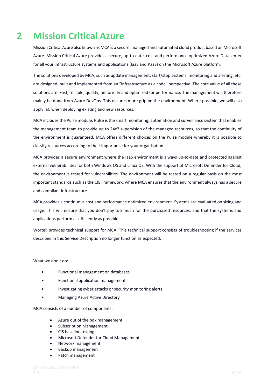## <span id="page-7-0"></span>**2 Mission Critical Azure**

Mission Critical Azure also known as MCA is a secure, managed and automated cloud product based on Microsoft Azure. Mission Critical Azure provides a secure, up-to-date, cost and performance optimized Azure Datacenter for all your infrastructure systems and applications (IaaS and PaaS) on the Microsoft Azure platform.

The solutions developed by MCA, such as update management, start/stop systems, monitoring and alerting, etc. are designed, built and implemented from an "infrastructure as a code" perspective. The core value of all these solutions are: Fast, reliable, quality, uniformity and optimized for performance. The management will therefore mainly be done from Azure DevOps. This ensures more grip on the environment. Where possible, we will also apply IaC when deploying existing and new resources.

MCA includes the Pulse module. Pulse is the smart monitoring, automation and surveillance system that enables the management team to provide up to 24x7 supervision of the managed resources, so that the continuity of the environment is guaranteed. MCA offers different choices on the Pulse module whereby it is possible to classify resources according to their importance for your organisation.

MCA provides a secure environment where the IaaS environment is always up-to-date and protected against external vulnerabilities for both Windows OS and Linux OS. With the support of Microsoft Defender for Cloud, the environment is tested for vulnerabilities. The environment will be tested on a regular basis on the most important standards such as the CIS Framework, where MCA ensures that the environment always has a secure and compliant infrastructure.

MCA provides a continuous cost and performance optimized environment. Systems are evaluated on sizing and usage. This will ensure that you don't pay too much for the purchased resources, and that the systems and applications perform as efficiently as possible.

Wortell provides technical support for MCA. This technical support consists of troubleshooting if the services described in this Service Description no longer function as expected.

## What we don't do:

- Functional management on databases
- Functional application management
- Investigating cyber attacks or security monitoring alerts
- Managing Azure Active Directory

MCA consists of a number of components:

- Azure out of the box management
- Subscription Management
- CIS baseline testing
- Microsoft Defender for Cloud Management
- Network management
- Backup management
- Patch management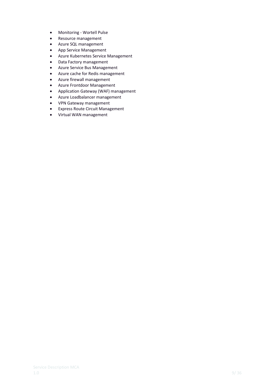- Monitoring Wortell Pulse
- Resource management
- Azure SQL management
- App Service Management
- Azure Kubernetes Service Management
- Data Factory management
- Azure Service Bus Management
- Azure cache for Redis management
- Azure firewall management
- Azure Frontdoor Management
- Application Gateway (WAF) management
- Azure Loadbalancer management
- VPN Gateway management
- Express Route Circuit Management
- Virtual WAN management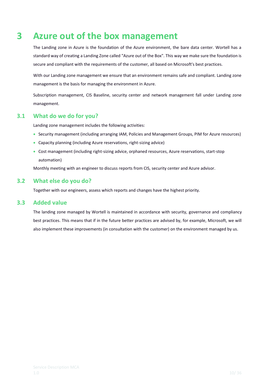## <span id="page-9-0"></span>**3 Azure out of the box management**

The Landing zone in Azure is the foundation of the Azure environment, the bare data center. Wortell has a standard way of creating a Landing Zone called "Azure out of the Box". This way we make sure the foundation is secure and compliant with the requirements of the customer, all based on Microsoft's best practices.

With our Landing zone management we ensure that an environment remains safe and compliant. Landing zone management is the basis for managing the environment in Azure.

Subscription management, CIS Baseline, security center and network management fall under Landing zone management.

## **3.1 What do we do for you?**

<span id="page-9-1"></span>Landing zone management includes the following activities:

- Security management (including arranging IAM, Policies and Management Groups, PIM for Azure resources)
- Capacity planning (including Azure reservations, right-sizing advice)
- Cost management (including right-sizing advice, orphaned resources, Azure reservations, start-stop automation)

<span id="page-9-2"></span>Monthly meeting with an engineer to discuss reports from CIS, security center and Azure advisor.

## **3.2 What else do you do?**

<span id="page-9-3"></span>Together with our engineers, assess which reports and changes have the highest priority.

## **3.3 Added value**

The landing zone managed by Wortell is maintained in accordance with security, governance and compliancy best practices. This means that if in the future better practices are advised by, for example, Microsoft, we will also implement these improvements (in consultation with the customer) on the environment managed by us.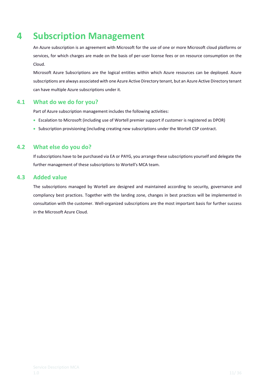## <span id="page-10-0"></span>**4 Subscription Management**

An Azure subscription is an agreement with Microsoft for the use of one or more Microsoft cloud platforms or services, for which charges are made on the basis of per-user license fees or on resource consumption on the Cloud.

Microsoft Azure Subscriptions are the logical entities within which Azure resources can be deployed. Azure subscriptions are always associated with one Azure Active Directory tenant, but an Azure Active Directory tenant can have multiple Azure subscriptions under it.

## **4.1 What do we do for you?**

<span id="page-10-1"></span>Part of Azure subscription management includes the following activities:

- Escalation to Microsoft (including use of Wortell premier support if customer is registered as DPOR)
- Subscription provisioning (including creating new subscriptions under the Wortell CSP contract.

## **4.2 What else do you do?**

<span id="page-10-2"></span>If subscriptions have to be purchased via EA or PAYG, you arrange these subscriptions yourself and delegate the further management of these subscriptions to Wortell's MCA team.

## **4.3 Added value**

<span id="page-10-3"></span>The subscriptions managed by Wortell are designed and maintained according to security, governance and compliancy best practices. Together with the landing zone, changes in best practices will be implemented in consultation with the customer. Well-organized subscriptions are the most important basis for further success in the Microsoft Azure Cloud.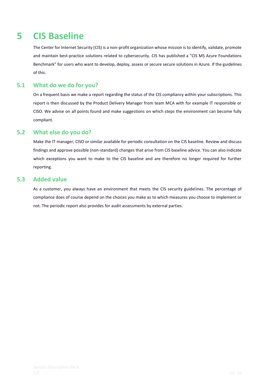## <span id="page-11-0"></span>**5 CIS Baseline**

The Center for Internet Security (CIS) is a non-profit organization whose mission is to identify, validate, promote and maintain best-practice solutions related to cybersecurity. CIS has published a "CIS MS Azure Foundations Benchmark" for users who want to develop, deploy, assess or secure secure solutions in Azure. If the guidelines of this.

## **5.1 What do we do for you?**

<span id="page-11-1"></span>On a frequent basis we make a report regarding the status of the CIS compliancy within your subscriptions. This report is then discussed by the Product Delivery Manager from team MCA with for example IT responsible or CISO. We advise on all points found and make suggestions on which steps the environment can become fully compliant.

## **5.2 What else do you do?**

<span id="page-11-2"></span>Make the IT manager, CISO or similar available for periodic consultation on the CIS baseline. Review and discuss findings and approve possible (non-standard) changes that arise from CIS baseline advice. You can also indicate which exceptions you want to make to the CIS baseline and are therefore no longer required for further reporting.

## **5.3 Added value**

<span id="page-11-3"></span>As a customer, you always have an environment that meets the CIS security guidelines. The percentage of compliance does of course depend on the choices you make as to which measures you choose to implement or not. The periodic report also provides for audit assessments by external parties.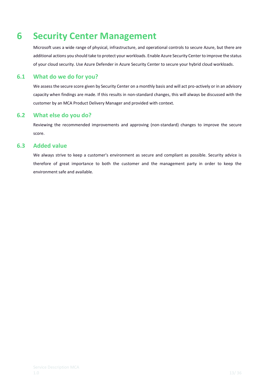## <span id="page-12-0"></span>**6 Security Center Management**

Microsoft uses a wide range of physical, infrastructure, and operational controls to secure Azure, but there are additional actions you should take to protect your workloads. Enable Azure Security Center to improve the status of your cloud security. Use Azure Defender in Azure Security Center to secure your hybrid cloud workloads.

## **6.1 What do we do for you?**

<span id="page-12-1"></span>We assess the secure score given by Security Center on a monthly basis and will act pro-actively or in an advisory capacity when findings are made. If this results in non-standard changes, this will always be discussed with the customer by an MCA Product Delivery Manager and provided with context.

## **6.2 What else do you do?**

<span id="page-12-2"></span>Reviewing the recommended improvements and approving (non-standard) changes to improve the secure score.

## **6.3 Added value**

<span id="page-12-3"></span>We always strive to keep a customer's environment as secure and compliant as possible. Security advice is therefore of great importance to both the customer and the management party in order to keep the environment safe and available.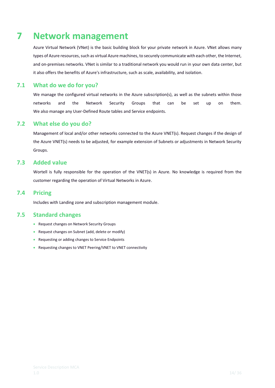## <span id="page-13-0"></span>**7 Network management**

Azure Virtual Network (VNet) is the basic building block for your private network in Azure. VNet allows many types of Azure resources, such as virtual Azure machines, to securely communicate with each other, the Internet, and on-premises networks. VNet is similar to a traditional network you would run in your own data center, but it also offers the benefits of Azure's infrastructure, such as scale, availability, and isolation.

## **7.1 What do we do for you?**

<span id="page-13-1"></span>We manage the configured virtual networks in the Azure subscription(s), as well as the subnets within those networks and the Network Security Groups that can be set up on them. We also manage any User-Defined Route tables and Service endpoints.

## **7.2 What else do you do?**

<span id="page-13-2"></span>Management of local and/or other networks connected to the Azure VNET(s). Request changes if the design of the Azure VNET(s) needs to be adjusted, for example extension of Subnets or adjustments in Network Security Groups.

## **7.3 Added value**

<span id="page-13-3"></span>Wortell is fully responsible for the operation of the VNET(s) in Azure. No knowledge is required from the customer regarding the operation of Virtual Networks in Azure.

## **7.4 Pricing**

<span id="page-13-5"></span><span id="page-13-4"></span>Includes with Landing zone and subscription management module.

## **7.5 Standard changes**

- Request changes on Network Security Groups
- Request changes on Subnet (add, delete or modify)
- Requesting or adding changes to Service Endpoints
- Requesting changes to VNET Peering/VNET to VNET connectivity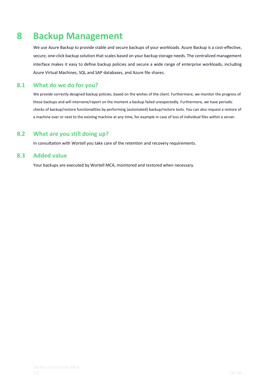## <span id="page-14-0"></span>**8 Backup Management**

We use Azure Backup to provide stable and secure backups of your workloads. Azure Backup is a cost-effective, secure, one-click backup solution that scales based on your backup storage needs. The centralized management interface makes it easy to define backup policies and secure a wide range of enterprise workloads, including Azure Virtual Machines, SQL and SAP databases, and Azure file shares.

## **8.1 What do we do for you?**

<span id="page-14-1"></span>We provide correctly designed backup policies, based on the wishes of the client. Furthermore, we monitor the progress of these backups and will intervene/report on the moment a backup failed unexpectedly. Furthermore, we have periodic checks of backup/restore functionalities by performing (automated) backup/restore tests. You can also request a restore of a machine over or next to the existing machine at any time, for example in case of loss of individual files within a server.

## **8.2 What are you still doing up?**

<span id="page-14-3"></span><span id="page-14-2"></span>In consultation with Wortell you take care of the retention and recovery requirements.

## **8.3 Added value**

Your backups are executed by Wortell MCA, monitored and restored when necessary.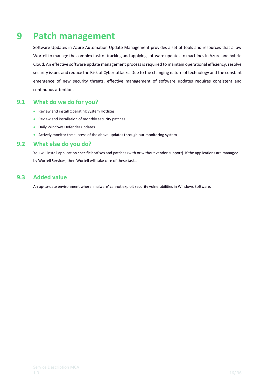## <span id="page-15-0"></span>**9 Patch management**

Software Updates in Azure Automation Update Management provides a set of tools and resources that allow Wortell to manage the complex task of tracking and applying software updates to machines in Azure and hybrid Cloud. An effective software update management process is required to maintain operational efficiency, resolve security issues and reduce the Risk of Cyber-attacks. Due to the changing nature of technology and the constant emergence of new security threats, effective management of software updates requires consistent and continuous attention.

## **9.1 What do we do for you?**

- <span id="page-15-1"></span>• Review and install Operating System Hotfixes
- Review and installation of monthly security patches
- Daily Windows Defender updates
- <span id="page-15-2"></span>• Actively monitor the success of the above updates through our monitoring system

## **9.2 What else do you do?**

You will install application specific hotfixes and patches (with or without vendor support). If the applications are managed by Wortell Services, then Wortell will take care of these tasks.

## **9.3 Added value**

<span id="page-15-3"></span>An up-to-date environment where 'malware' cannot exploit security vulnerabilities in Windows Software.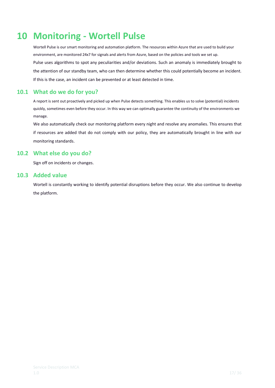## <span id="page-16-0"></span>**10 Monitoring - Wortell Pulse**

Wortell Pulse is our smart monitoring and automation platform. The resources within Azure that are used to build your environment, are monitored 24x7 for signals and alerts from Azure, based on the policies and tools we set up. Pulse uses algorithms to spot any peculiarities and/or deviations. Such an anomaly is immediately brought to the attention of our standby team, who can then determine whether this could potentially become an incident. If this is the case, an incident can be prevented or at least detected in time.

## **10.1 What do we do for you?**

<span id="page-16-1"></span>A report is sent out proactively and picked up when Pulse detects something. This enables us to solve (potential) incidents quickly, sometimes even before they occur. In this way we can optimally guarantee the continuity of the environments we manage.

We also automatically check our monitoring platform every night and resolve any anomalies. This ensures that if resources are added that do not comply with our policy, they are automatically brought in line with our monitoring standards.

## **10.2 What else do you do?**

<span id="page-16-2"></span>Sign off on incidents or changes.

## **10.3 Added value**

<span id="page-16-3"></span>Wortell is constantly working to identify potential disruptions before they occur. We also continue to develop the platform.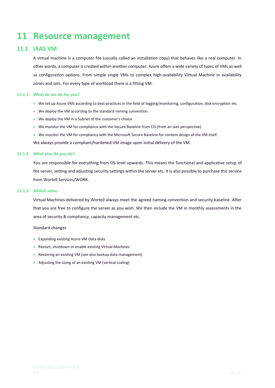## <span id="page-17-0"></span>**11 Resource management**

## **11.1 IAAS VM**

<span id="page-17-1"></span>A virtual machine is a computer file (usually called an installation copy) that behaves like a real computer. In other words, a computer is created within another computer. Azure offers a wide variety of types of VMs as well as configuration options. From simple single VMs to complex high-availability Virtual Machine in availability zones and sets. For every type of workload there is a fitting VM.

## **11.1.1 What do we do for you?**

- <span id="page-17-2"></span>• We set up Azure VMs according to best-practices in the field of logging/monitoring, configuration, disk encryption etc.
- We deploy the VM according to the standard naming convention.
- We deploy the VM in a Subnet of the customer's choice
- We monitor the VM for compliance with the Secure Baseline from CIS (from an IaaS perspective).
- We monitor the VM for compliancy with the Microsoft Secure Baseline for content design of the VM itself.

We always provide a compliant/hardened VM image upon initial delivery of the VM.

## **11.1.2 What else do you do?**

<span id="page-17-3"></span>You are responsible for everything from OS level upwards. This means the functional and applicative setup of the server, setting and adjusting security settings within the server etc. It is also possible to purchase this service from Wortell Services/WORK.

## **11.1.3 Added value**

<span id="page-17-4"></span>Virtual Machines delivered by Wortell always meet the agreed naming convention and security baseline. After that you are free to configure the server as you wish. We then include the VM in monthly assessments in the area of security & compliancy, capacity management etc.

### Standard changes

- Expanding existing Azure VM Data disks
- Restart, shutdown or enable existing Virtual Machines
- Restoring an existing VM (see also backup data management)
- Adjusting the sizing of an existing VM (vertical scaling)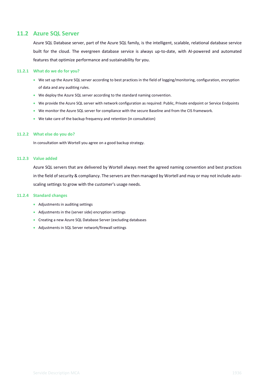## **11.2 Azure SQL Server**

<span id="page-18-0"></span>Azure SQL Database server, part of the Azure SQL family, is the intelligent, scalable, relational database service built for the cloud. The evergreen database service is always up-to-date, with AI-powered and automated features that optimize performance and sustainability for you.

### **11.2.1 What do we do for you?**

- <span id="page-18-1"></span>• We set up the Azure SQL server according to best practices in the field of logging/monitoring, configuration, encryption of data and any auditing rules.
- We deploy the Azure SQL server according to the standard naming convention.
- We provide the Azure SQL server with network configuration as required: Public, Private endpoint or Service Endpoints
- We monitor the Azure SQL server for compliance with the secure Baseline and from the CIS framework.
- We take care of the backup frequency and retention (in consultation)

#### **11.2.2 What else do you do?**

<span id="page-18-2"></span>In consultation with Wortell you agree on a good backup strategy.

### **11.2.3 Value added**

<span id="page-18-3"></span>Azure SQL servers that are delivered by Wortell always meet the agreed naming convention and best practices in the field of security & compliancy. The servers are then managed by Wortell and may or may not include autoscaling settings to grow with the customer's usage needs.

### **11.2.4 Standard changes**

- <span id="page-18-4"></span>• Adjustments in auditing settings
- Adjustments in the (server side) encryption settings
- Creating a new Azure SQL Database Server (excluding databases
- Adjustments in SQL Server network/firewall settings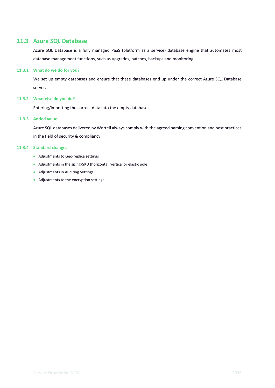## **11.3 Azure SQL Database**

<span id="page-19-0"></span>Azure SQL Database is a fully managed PaaS (platform as a service) database engine that automates most database management functions, such as upgrades, patches, backups and monitoring.

### **11.3.1 What do we do for you?**

<span id="page-19-1"></span>We set up empty databases and ensure that these databases end up under the correct Azure SQL Database server.

## **11.3.2 What else do you do?**

<span id="page-19-2"></span>Entering/importing the correct data into the empty databases.

## **11.3.3 Added value**

<span id="page-19-3"></span>Azure SQL databases delivered by Wortell always comply with the agreed naming convention and best practices in the field of security & compliancy.

### **11.3.4 Standard changes**

- <span id="page-19-4"></span>• Adjustments to Geo-replica settings
- Adjustments in the sizing/SKU (horizontal, vertical or elastic pole)
- Adjustments in Auditing Settings
- Adjustments to the encryption settings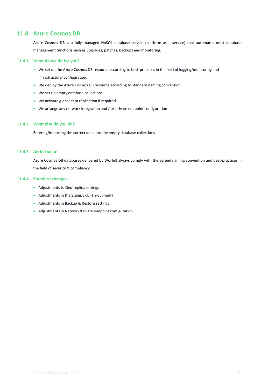## **11.4 Azure Cosmos DB**

<span id="page-20-0"></span>Azure Cosmos DB is a fully managed NoSQL database service (platform as a service) that automates most database management functions such as upgrades, patches, backups and monitoring.

#### **11.4.1 What do we do for you?**

- <span id="page-20-1"></span>• We set up the Azure Cosmos DB resource according to best-practices in the field of logging/monitoring and infrastructural configuration.
- We deploy the Azure Cosmos DB resource according to standard naming convention.
- We set up empty database collections
- We activate global data replication if required
- We arrange any network integration and / or private endpoint configuration

#### **11.4.2 What else do you do?**

<span id="page-20-2"></span>Entering/importing the correct data into the empty database collections

#### **11.4.3 Added value**

<span id="page-20-3"></span>Azure Cosmos DB databases delivered by Wortell always comply with the agreed naming convention and best-practices in the field of security & compliancy. ,

## **11.4.4 Standard changes**

- <span id="page-20-4"></span>• Adjustments to Geo-replica settings
- Adjustments in the Sizing/SKU (Throughput)
- Adjustments in Backup & Restore settings
- Adjustments in Network/Private endpoint configuration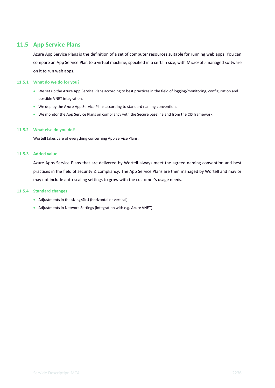## **11.5 App Service Plans**

<span id="page-21-0"></span>Azure App Service Plans is the definition of a set of computer resources suitable for running web apps. You can compare an App Service Plan to a virtual machine, specified in a certain size, with Microsoft-managed software on it to run web apps.

## **11.5.1 What do we do for you?**

- <span id="page-21-1"></span>• We set up the Azure App Service Plans according to best practices in the field of logging/monitoring, configuration and possible VNET integration.
- We deploy the Azure App Service Plans according to standard naming convention.
- We monitor the App Service Plans on compliancy with the Secure baseline and from the CIS framework.

### **11.5.2 What else do you do?**

<span id="page-21-2"></span>Wortell takes care of everything concerning App Service Plans.

### **11.5.3 Added value**

<span id="page-21-3"></span>Azure Apps Service Plans that are delivered by Wortell always meet the agreed naming convention and best practices in the field of security & compliancy. The App Service Plans are then managed by Wortell and may or may not include auto-scaling settings to grow with the customer's usage needs.

#### **11.5.4 Standard changes**

- <span id="page-21-4"></span>• Adjustments in the sizing/SKU (horizontal or vertical)
- Adjustments in Network Settings (integration with e.g. Azure VNET)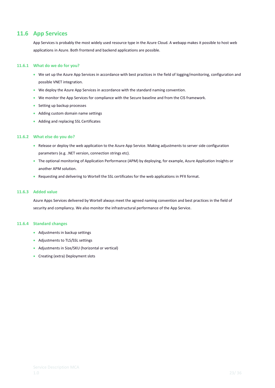## **11.6 App Services**

<span id="page-22-0"></span>App Services is probably the most widely used resource type in the Azure Cloud. A webapp makes it possible to host web applications in Azure. Both frontend and backend applications are possible.

### **11.6.1 What do we do for you?**

- <span id="page-22-1"></span>• We set up the Azure App Services in accordance with best practices in the field of logging/monitoring, configuration and possible VNET integration.
- We deploy the Azure App Services in accordance with the standard naming convention.
- We monitor the App Services for compliance with the Secure baseline and from the CIS framework.
- Setting up backup processes
- Adding custom domain name settings
- Adding and replacing SSL Certificates

#### **11.6.2 What else do you do?**

- <span id="page-22-2"></span>• Release or deploy the web application to the Azure App Service. Making adjustments to server side configuration parameters (e.g. .NET version, connection strings etc).
- The optional monitoring of Application Performance (APM) by deploying, for example, Azure Application Insights or another APM solution.
- Requesting and delivering to Wortell the SSL certificates for the web applications in PFX format.

#### **11.6.3 Added value**

<span id="page-22-3"></span>Azure Apps Services delivered by Wortell always meet the agreed naming convention and best practices in the field of security and compliancy. We also monitor the infrastructural performance of the App Service.

#### **11.6.4 Standard changes**

- <span id="page-22-4"></span>• Adjustments in backup settings
- Adjustments to TLS/SSL settings
- Adjustments in Size/SKU (horizontal or vertical)
- Creating (extra) Deployment slots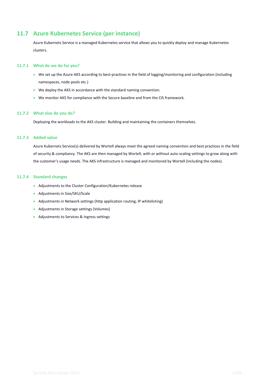## **11.7 Azure Kubernetes Service (per instance)**

<span id="page-23-0"></span>Azure Kubernets Service is a managed Kubernetes service that allows you to quickly deploy and manage Kubernetes clusters.

### **11.7.1 What do we do for you?**

- <span id="page-23-1"></span>• We set up the Azure AKS according to best-practices in the field of logging/monitoring and configuration (including namespaces, node pools etc.)
- We deploy the AKS in accordance with the standard naming convention.
- We monitor AKS for compliance with the Secure baseline and from the CIS framework.

#### **11.7.2 What else do you do?**

<span id="page-23-2"></span>Deploying the workloads to the AKS cluster. Building and maintaining the containers themselves.

#### **11.7.3 Added value**

<span id="page-23-3"></span>Azure Kubernets Service(s) delivered by Wortell always meet the agreed naming convention and best practices in the field of security & compliancy. The AKS are then managed by Wortell, with or without auto-scaling settings to grow along with the customer's usage needs. The AKS infrastructure is managed and monitored by Wortell (including the nodes).

#### **11.7.4 Standard changes**

- <span id="page-23-4"></span>• Adjustments to the Cluster Configuration/Kubernetes release
- Adjustments in Size/SKU/Scale
- Adjustments in Network settings (http application routing, IP whitelisting)
- Adjustments in Storage settings (Volumes)
- Adjustments to Services & Ingress settings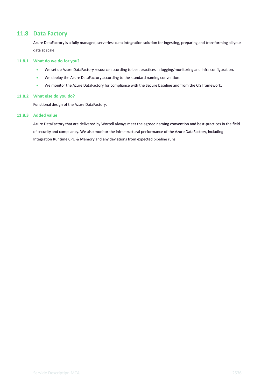## **11.8 Data Factory**

<span id="page-24-0"></span>Azure DataFactory is a fully managed, serverless data integration solution for ingesting, preparing and transforming all your data at scale.

#### **11.8.1 What do we do for you?**

- <span id="page-24-1"></span>• We set up Azure DataFactory resource according to best practices in logging/monitoring and infra configuration.
- We deploy the Azure DataFactory according to the standard naming convention.
- We monitor the Azure DataFactory for compliance with the Secure baseline and from the CIS framework.

#### **11.8.2 What else do you do?**

<span id="page-24-2"></span>Functional design of the Azure DataFactory.

#### **11.8.3 Added value**

<span id="page-24-3"></span>Azure DataFactory that are delivered by Wortell always meet the agreed naming convention and best-practices in the field of security and compliancy. We also monitor the infrastructural performance of the Azure DataFactory, including Integration Runtime CPU & Memory and any deviations from expected pipeline runs.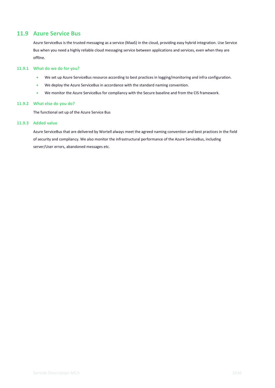## **11.9 Azure Service Bus**

<span id="page-25-0"></span>Azure ServiceBus is the trusted messaging as a service (MaaS) in the cloud, providing easy hybrid integration. Use Service Bus when you need a highly reliable cloud messaging service between applications and services, even when they are offline.

#### **11.9.1 What do we do for you?**

- <span id="page-25-1"></span>• We set up Azure ServiceBus resource according to best practices in logging/monitoring and infra configuration.
- We deploy the Azure ServiceBus in accordance with the standard naming convention.
- We monitor the Azure ServiceBus for compliancy with the Secure baseline and from the CIS framework.

### **11.9.2 What else do you do?**

<span id="page-25-2"></span>The functional set up of the Azure Service Bus

#### **11.9.3 Added value**

<span id="page-25-3"></span>Azure ServiceBus that are delivered by Wortell always meet the agreed naming convention and best practices in the field of security and compliancy. We also monitor the infrastructural performance of the Azure ServiceBus, including server/User errors, abandoned messages etc.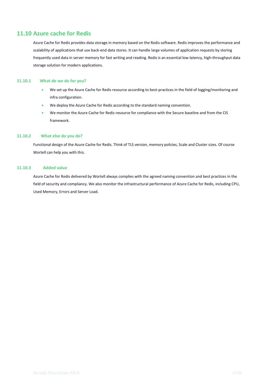## **11.10 Azure cache for Redis**

<span id="page-26-0"></span>Azure Cache for Redis provides data storage in memory based on the Redis software. Redis improves the performance and scalability of applications that use back-end data stores. It can handle large volumes of application requests by storing frequently used data in server memory for fast writing and reading. Redis is an essential low-latency, high-throughput data storage solution for modern applications.

### **11.10.1 What do we do for you?**

- <span id="page-26-1"></span>• We set up the Azure Cache for Redis resource according to best-practices in the field of logging/monitoring and infra configuration.
- We deploy the Azure Cache for Redis according to the standard naming convention.
- We monitor the Azure Cache for Redis resource for compliance with the Secure baseline and from the CIS framework.

### **11.10.2 What else do you do?**

<span id="page-26-2"></span>Functional design of the Azure Cache for Redis. Think of TLS version, memory policies, Scale and Cluster sizes. Of course Wortell can help you with this.

#### **11.10.3 Added value**

<span id="page-26-3"></span>Azure Cache for Redis delivered by Wortell always complies with the agreed naming convention and best practices in the field of security and compliancy. We also monitor the infrastructural performance of Azure Cache for Redis, including CPU, Used Memory, Errors and Server Load.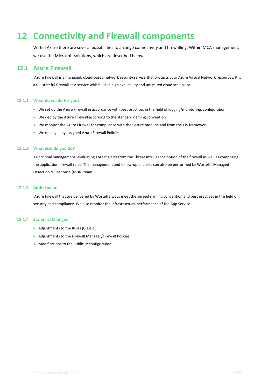## <span id="page-27-0"></span>**12 Connectivity and Firewall components**

Within Azure there are several possibilities to arrange connectivity and firewalling. Within MCA-management, we use the Microsoft solutions, which are described below.

## **12.1 Azure Firewall**

<span id="page-27-1"></span>Azure Firewall is a managed, cloud-based network security service that protects your Azure Virtual Network resources. It is a full stateful firewall as a service with built-in high availability and unlimited cloud scalability.

### **12.1.1 What do we do for you?**

- <span id="page-27-2"></span>• We set up the Azure Firewall in accordance with best practices in the field of logging/monitoring, configuration
- We deploy the Azure Firewall according to the standard naming convention.
- We monitor the Azure Firewall for compliance with the Secure baseline and from the CIS framework.
- We manage any assigned Azure Firewall Policies

### **12.1.2 What else do you do?**

<span id="page-27-3"></span>Functional management: evaluating Threat alerts from the Threat Intelligence option of the firewall as well as composing the application firewall rules. The management and follow-up of alerts can also be performed by Wortell's Managed Detection & Response (MDR) team.

#### **12.1.3 Added value**

<span id="page-27-4"></span>Azure Firewall that are delivered by Wortell always meet the agreed naming convention and best practices in the field of security and compliancy. We also monitor the infrastructural performance of the App Service.

### **12.1.4 Standard Changes**

- <span id="page-27-5"></span>• Adjustments to the Rules (Classic)
- Adjustments to the Firewall Manager/Firewall Policies
- Modifications to the Public IP configuration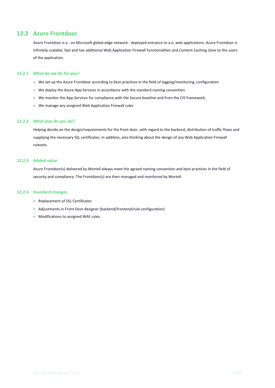## **12.2 Azure Frontdoor**

<span id="page-28-0"></span>Azure Frontdoor is a - on Microsoft global edge network - deployed entrance to a.o. web applications. Azure Frontdoor is infinitely scalable, fast and has additional Web Application Firewall functionalities and Content Caching close to the users of the application.

#### **12.2.1 What do we do for you?**

- <span id="page-28-1"></span>• We set up the Azure Frontdoor according to best-practices in the field of logging/monitoring, configuration
- We deploy the Azure App Services in accordance with the standard naming convention.
- We monitor the App Services for compliance with the Secure baseline and from the CIS framework.
- We manage any assigned Web Application Firewall rules

#### **12.2.2 What else do you do?**

<span id="page-28-2"></span>Helping decide on the design/requirements for the front door, with regard to the backend, distribution of traffic flows and supplying the necessary SSL certificates. In addition, also thinking about the design of any Web Application Firewall rulesets.

### **12.2.3 Added value**

<span id="page-28-3"></span>Azure Frontdoor(s) delivered by Wortell always meet the agreed naming convention and best practices in the field of security and compliancy. The Frontdoor(s) are then managed and monitored by Wortell.

#### **12.2.4 Standard changes**

- <span id="page-28-4"></span>• Replacement of SSL Certificates
- Adjustments in Front Door designer (backend/frontend/rule configuration)
- Modifications to assigned WAF rules.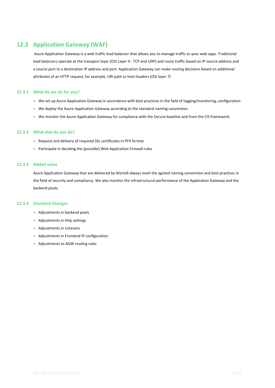## **12.3 Application Gateway (WAF)**

<span id="page-29-0"></span>Azure Application Gateway is a web traffic load balancer that allows you to manage traffic to your web apps. Traditional load balancers operate at the transport layer (OSI Layer 4 - TCP and UDP) and route traffic based on IP source address and a source port to a destination IP address and port. Application Gateway can make routing decisions based on additional attributes of an HTTP request, for example, URI path or host headers (OSI layer 7)

### **12.3.1 What do we do for you?**

- <span id="page-29-1"></span>• We set up Azure Application Gateway in accordance with best practices in the field of logging/monitoring, configuration
- We deploy the Azure Application Gateway according to the standard naming convention.
- We monitor the Azure Application Gateway for compliance with the Secure baseline and from the CIS framework.

#### **12.3.2 What else do you do?**

- <span id="page-29-2"></span>• Request and delivery of required SSL certificates in PFX format
- Participate in deciding the (possible) Web Application Firewall rules

### **12.3.3 Added value**

<span id="page-29-3"></span>Azure Application Gateway that are delivered by Wortell always meet the agreed naming convention and best practices in the field of security and compliancy. We also monitor the infrastructural performance of the Application Gateway and the backend pools.

#### **12.3.4 Standard Changes**

- <span id="page-29-4"></span>• Adjustments in backend pools
- Adjustments in http settings
- Adjustments in Listeners
- Adjustments in Frontend IP configuration
- Adjustments to AGW routing rules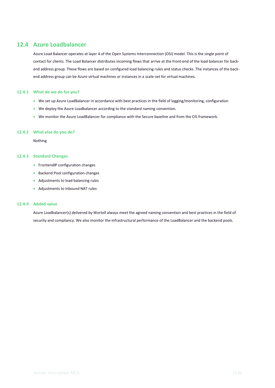## **12.4 Azure Loadbalancer**

<span id="page-30-0"></span>Azure Load Balancer operates at layer 4 of the Open Systems Interconnection (OSI) model. This is the single point of contact for clients. The Load Balancer distributes incoming flows that arrive at the front-end of the load balancer for backend address group. These flows are based on configured load balancing rules and status checks. The instances of the backend address group can be Azure virtual machines or instances in a scale-set for virtual machines.

### **12.4.1 What do we do for you?**

- <span id="page-30-1"></span>• We set up Azure LoadBalancer in accordance with best practices in the field of logging/monitoring, configuration
- We deploy the Azure Loadbalancer according to the standard naming convention.
- We monitor the Azure LoadBalancer for compliance with the Secure baseline and from the CIS framework.

### **12.4.2 What else do you do?**

<span id="page-30-2"></span>Nothing

#### **12.4.3 Standard Changes**

- <span id="page-30-3"></span>• FrontendIP configuration changes
- Backend Pool configuration changes
- Adjustments to load balancing rules
- Adjustments to Inbound NAT rules

### **12.4.4 Added value**

<span id="page-30-4"></span>Azure Loadbalancer(s) delivered by Wortell always meet the agreed naming convention and best practices in the field of security and compliancy. We also monitor the infrastructural performance of the LoadBalancer and the backend pools.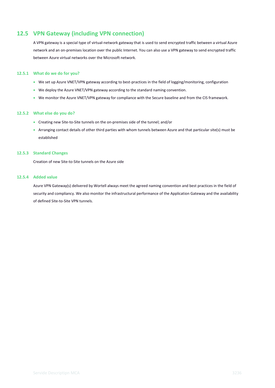## **12.5 VPN Gateway (including VPN connection)**

<span id="page-31-0"></span>A VPN gateway is a special type of virtual-network gateway that is used to send encrypted traffic between a virtual Azure network and an on-premises location over the public Internet. You can also use a VPN gateway to send encrypted traffic between Azure virtual networks over the Microsoft network.

#### **12.5.1 What do we do for you?**

- <span id="page-31-1"></span>• We set up Azure VNET/VPN gateway according to best-practices in the field of logging/monitoring, configuration
- We deploy the Azure VNET/VPN gateway according to the standard naming convention.
- We monitor the Azure VNET/VPN gateway for compliance with the Secure baseline and from the CIS framework.

### **12.5.2 What else do you do?**

- <span id="page-31-2"></span>• Creating new Site-to-Site tunnels on the on-premises side of the tunnel; and/or
- Arranging contact details of other third parties with whom tunnels between Azure and that particular site(s) must be established

### **12.5.3 Standard Changes**

<span id="page-31-3"></span>Creation of new Site-to-Site tunnels on the Azure side

#### **12.5.4 Added value**

<span id="page-31-4"></span>Azure VPN Gateway(s) delivered by Wortell always meet the agreed naming convention and best practices in the field of security and compliancy. We also monitor the infrastructural performance of the Application Gateway and the availability of defined Site-to-Site VPN tunnels.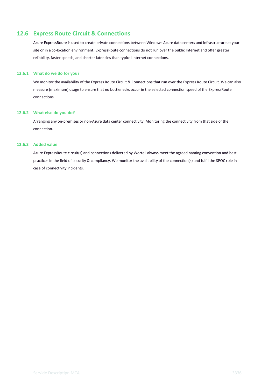## **12.6 Express Route Circuit & Connections**

<span id="page-32-0"></span>Azure ExpressRoute is used to create private connections between Windows Azure data centers and infrastructure at your site or in a co-location environment. ExpressRoute connections do not run over the public Internet and offer greater reliability, faster speeds, and shorter latencies than typical Internet connections.

#### **12.6.1 What do we do for you?**

<span id="page-32-1"></span>We monitor the availability of the Express Route Circuit & Connections that run over the Express Route Circuit. We can also measure (maximum) usage to ensure that no bottlenecks occur in the selected connection speed of the ExpressRoute connections.

### **12.6.2 What else do you do?**

<span id="page-32-2"></span>Arranging any on-premises or non-Azure data center connectivity. Monitoring the connectivity from that side of the connection.

## **12.6.3 Added value**

<span id="page-32-3"></span>Azure ExpressRoute circuit(s) and connections delivered by Wortell always meet the agreed naming convention and best practices in the field of security & compliancy. We monitor the availability of the connection(s) and fulfil the SPOC role in case of connectivity incidents.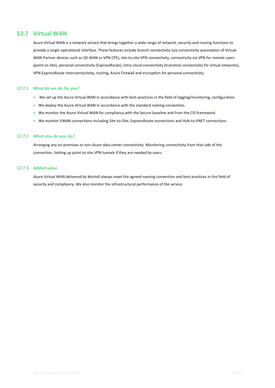## **12.7 Virtual WAN**

<span id="page-33-0"></span>Azure Virtual WAN is a network service that brings together a wide range of network, security and routing functions to provide a single operational interface. These features include branch connectivity (via connectivity automation of Virtual WAN Partner devices such as SD-WAN or VPN CPE), site-to-site VPN connectivity, connectivity via VPN for remote users (point-to-site), personal connectivity (ExpressRoute), intra-cloud connectivity (transitive connectivity for virtual networks), VPN-ExpressRoute interconnectivity, routing, Azure Firewall and encryption for personal connectivity.

#### **12.7.1 What do we do for you?**

- <span id="page-33-1"></span>• We set up the Azure Virtual WAN in accordance with best-practices in the field of logging/monitoring, configuration
- We deploy the Azure Virtual WAN in accordance with the standard naming convention.
- We monitor the Azure Virtual WAN for compliancy with the Secure baseline and from the CIS framework.
- We monitor VWAN connections including Site-to-Site, ExpressRoute connections and Hub-to-VNET connections

#### **12.7.2 What else do you do?**

<span id="page-33-2"></span>Arranging any on-premises or non-Azure data center connectivity. Monitoring connectivity from that side of the connection. Setting up point-to-site VPN tunnels if they are needed by users.

#### **12.7.3 Added value**

<span id="page-33-3"></span>Azure Virtual WAN delivered by Wortell always meet the agreed naming convention and best practices in the field of security and compliancy. We also monitor the infrastructural performance of the service.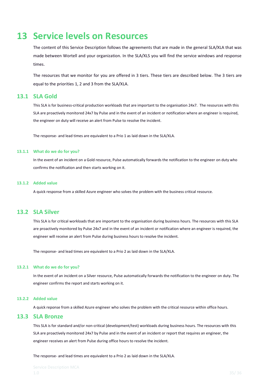## <span id="page-34-0"></span>**13 Service levels on Resources**

The content of this Service Description follows the agreements that are made in the general SLA/XLA that was made between Wortell and your organization. In the SLA/XLS you will find the service windows and response times.

The resources that we monitor for you are offered in 3 tiers. These tiers are described below. The 3 tiers are equal to the priorities 1, 2 and 3 from the SLA/XLA.

## **13.1 SLA Gold**

<span id="page-34-1"></span>This SLA is for business-critical production workloads that are important to the organisation 24x7. The resources with this SLA are proactively monitored 24x7 by Pulse and in the event of an incident or notification where an engineer is required, the engineer on duty will receive an alert from Pulse to resolve the incident.

The response- and lead times are equivalent to a Prio 1 as laid down in the SLA/XLA.

#### **13.1.1 What do we do for you?**

<span id="page-34-2"></span>In the event of an incident on a Gold resource, Pulse automatically forwards the notification to the engineer on duty who confirms the notification and then starts working on it.

### **13.1.2 Added value**

<span id="page-34-3"></span>A quick response from a skilled Azure engineer who solves the problem with the business critical resource.

## **13.2 SLA Silver**

<span id="page-34-4"></span>This SLA is for critical workloads that are important to the organisation during business hours. The resources with this SLA are proactively monitored by Pulse 24x7 and in the event of an incident or notification where an engineer is required, the engineer will receive an alert from Pulse during business hours to resolve the incident.

The response- and lead times are equivalent to a Prio 2 as laid down in the SLA/XLA.

#### **13.2.1 What do we do for you?**

<span id="page-34-5"></span>In the event of an incident on a Silver resource, Pulse automatically forwards the notification to the engineer on duty. The engineer confirms the report and starts working on it.

#### **13.2.2 Added value**

<span id="page-34-7"></span><span id="page-34-6"></span>A quick reponse from a skilled Azure engineer who solves the problem with the critical resource within office hours.

## **13.3 SLA Bronze**

This SLA is for standard and/or non-critical (development/test) workloads during business hours. The resources with this SLA are proactively monitored 24x7 by Pulse and in the event of an incident or report that requires an engineer, the engineer receives an alert from Pulse during office hours to resolve the incident.

The response- and lead times are equivalent to a Prio 2 as laid down in the SLA/XLA.